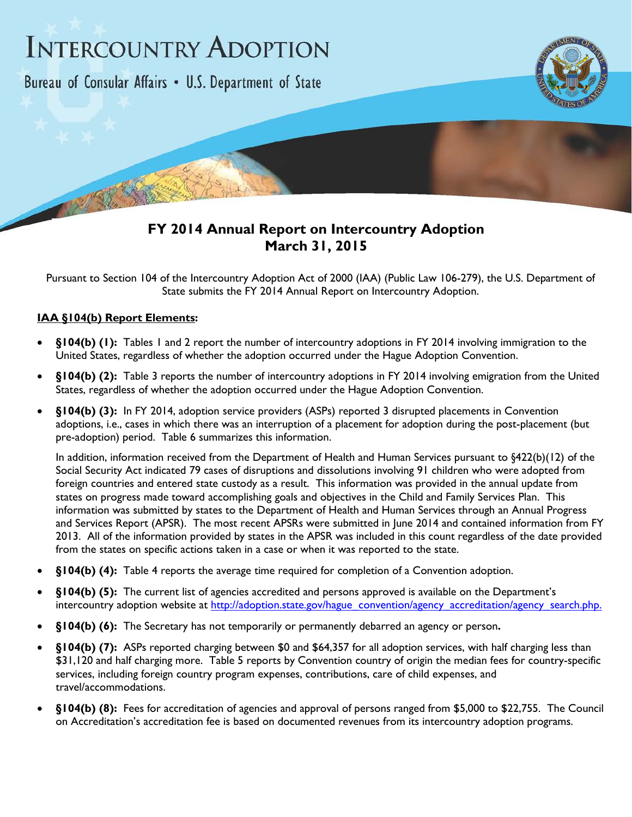## **INTERCOUNTRY ADOPTION**

Bureau of Consular Affairs . U.S. Department of State



## **FY 2014 Annual Report on Intercountry Adoption March 31, 2015**

Pursuant to Section 104 of the Intercountry Adoption Act of 2000 (IAA) (Public Law 106-279), the U.S. Department of State submits the FY 2014 Annual Report on Intercountry Adoption.

## **IAA §104(b) Report Elements:**

- **§104(b) (1):** Tables 1 and 2 report the number of intercountry adoptions in FY 2014 involving immigration to the United States, regardless of whether the adoption occurred under the Hague Adoption Convention.
- **§104(b) (2):** Table 3 reports the number of intercountry adoptions in FY 2014 involving emigration from the United States, regardless of whether the adoption occurred under the Hague Adoption Convention.
- **§104(b) (3):** In FY 2014, adoption service providers (ASPs) reported 3 disrupted placements in Convention adoptions, i.e., cases in which there was an interruption of a placement for adoption during the post-placement (but pre-adoption) period. Table 6 summarizes this information.

In addition, information received from the Department of Health and Human Services pursuant to §422(b)(12) of the Social Security Act indicated 79 cases of disruptions and dissolutions involving 91 children who were adopted from foreign countries and entered state custody as a result. This information was provided in the annual update from states on progress made toward accomplishing goals and objectives in the Child and Family Services Plan. This information was submitted by states to the Department of Health and Human Services through an Annual Progress and Services Report (APSR). The most recent APSRs were submitted in June 2014 and contained information from FY 2013. All of the information provided by states in the APSR was included in this count regardless of the date provided from the states on specific actions taken in a case or when it was reported to the state.

- **§104(b) (4):** Table 4 reports the average time required for completion of a Convention adoption.
- §104(b) (5): The current list of agencies accredited and persons approved is available on the Department's intercountry adoption website at http://adoption.state.gov/hague\_convention/agency\_accreditation/agency\_search.php.
- **§104(b) (6):** The Secretary has not temporarily or permanently debarred an agency or person**.**
- **§104(b) (7):** ASPs reported charging between \$0 and \$64,357 for all adoption services, with half charging less than \$31,120 and half charging more. Table 5 reports by Convention country of origin the median fees for country-specific services, including foreign country program expenses, contributions, care of child expenses, and travel/accommodations.
- §104(b) (8): Fees for accreditation of agencies and approval of persons ranged from \$5,000 to \$22,755. The Council on Accreditation's accreditation fee is based on documented revenues from its intercountry adoption programs.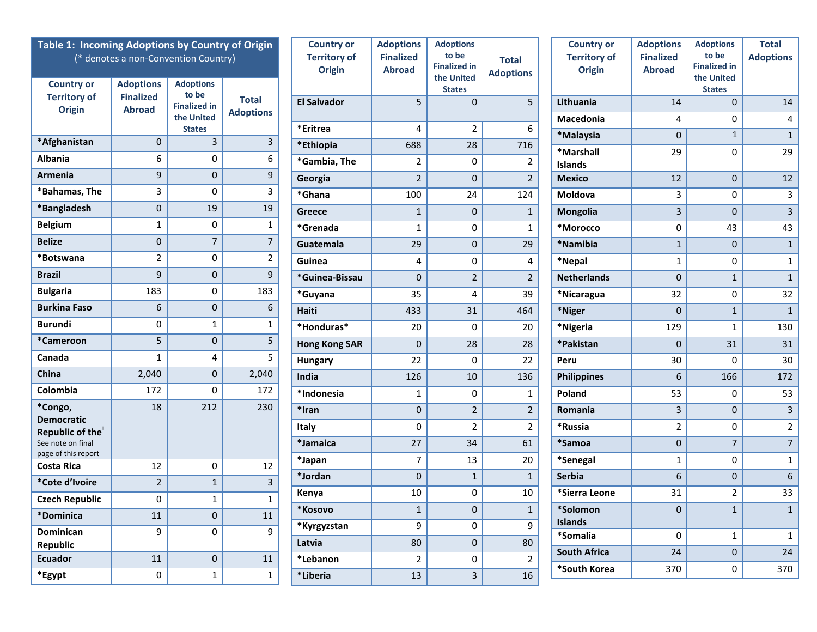| Table 1: Incoming Adoptions by Country of Origin<br>(* denotes a non-Convention Country)<br><b>Adoptions</b><br><b>Adoptions</b><br><b>Country or</b> |                  |                              | <b>Country or</b><br><b>Territory of</b><br>Origin | <b>Adoptions</b><br><b>Finalized</b><br><b>Abroad</b> | <b>Adoptions</b><br>to be<br><b>Finalized in</b><br>the United<br><b>States</b> | <b>Total</b><br><b>Adoptions</b> | <b>Country or</b><br><b>Territory of</b><br><b>Origin</b> | <b>Adoptions</b><br><b>Finalized</b><br><b>Abroad</b> | <b>Adoptions</b><br>to be<br><b>Finalized in</b><br>the United<br><b>States</b> | <b>Total</b><br><b>Adoptions</b> |                         |
|-------------------------------------------------------------------------------------------------------------------------------------------------------|------------------|------------------------------|----------------------------------------------------|-------------------------------------------------------|---------------------------------------------------------------------------------|----------------------------------|-----------------------------------------------------------|-------------------------------------------------------|---------------------------------------------------------------------------------|----------------------------------|-------------------------|
| <b>Territory of</b>                                                                                                                                   | <b>Finalized</b> | to be<br><b>Finalized in</b> | <b>Total</b>                                       | <b>El Salvador</b>                                    | 5                                                                               | $\Omega$                         | 5                                                         | Lithuania                                             | 14                                                                              | $\mathbf{0}$                     | 14                      |
| <b>Origin</b>                                                                                                                                         | <b>Abroad</b>    | the United                   | <b>Adoptions</b>                                   |                                                       |                                                                                 |                                  |                                                           | Macedonia                                             | 4                                                                               | 0                                | 4                       |
|                                                                                                                                                       |                  | <b>States</b>                |                                                    | *Eritrea                                              | 4                                                                               | $\overline{2}$                   | 6                                                         | *Malaysia                                             | $\mathbf 0$                                                                     | $\mathbf{1}$                     | 1                       |
| *Afghanistan                                                                                                                                          | $\mathbf 0$      | 3                            | 3                                                  | *Ethiopia                                             | 688                                                                             | 28                               | 716                                                       | *Marshall                                             | 29                                                                              | 0                                | 29                      |
| <b>Albania</b>                                                                                                                                        | 6                | 0                            | 6                                                  | *Gambia, The                                          | $\overline{2}$                                                                  | 0                                | 2                                                         | <b>Islands</b>                                        |                                                                                 |                                  |                         |
| <b>Armenia</b>                                                                                                                                        | 9                | $\mathbf 0$                  | 9                                                  | Georgia                                               | $\overline{2}$                                                                  | $\mathbf{0}$                     | $\overline{2}$                                            | <b>Mexico</b>                                         | 12                                                                              | $\mathbf 0$                      | 12                      |
| *Bahamas, The                                                                                                                                         | 3                | 0                            | 3                                                  | *Ghana                                                | 100                                                                             | 24                               | 124                                                       | Moldova                                               | 3                                                                               | $\mathbf 0$                      | $\mathbf{3}$            |
| *Bangladesh                                                                                                                                           | 0                | 19                           | 19                                                 | <b>Greece</b>                                         | $\mathbf{1}$                                                                    | $\mathbf 0$                      | $\mathbf{1}$                                              | Mongolia                                              | 3                                                                               | $\mathbf{0}$                     | $\overline{3}$          |
| <b>Belgium</b>                                                                                                                                        | $\mathbf{1}$     | 0                            | 1                                                  | *Grenada                                              | $\mathbf{1}$                                                                    | 0                                | $\mathbf{1}$                                              | *Morocco                                              | $\pmb{0}$                                                                       | 43                               | 43                      |
| <b>Belize</b>                                                                                                                                         | $\pmb{0}$        | $\overline{7}$               | $\overline{7}$                                     | Guatemala                                             | 29                                                                              | $\mathbf{0}$                     | 29                                                        | *Namibia                                              | $\mathbf{1}$                                                                    | $\mathbf{0}$                     | $\mathbf{1}$            |
| *Botswana                                                                                                                                             | $\overline{2}$   | 0                            | 2                                                  | Guinea                                                | 4                                                                               | 0                                | 4                                                         | *Nepal                                                | 1                                                                               | 0                                | $\mathbf{1}$            |
| <b>Brazil</b>                                                                                                                                         | 9                | $\mathbf 0$                  | 9                                                  | *Guinea-Bissau                                        | 0                                                                               | $\overline{2}$                   | $\overline{2}$                                            | <b>Netherlands</b>                                    | $\mathbf{0}$                                                                    | $\mathbf{1}$                     | $\mathbf{1}$            |
| <b>Bulgaria</b>                                                                                                                                       | 183              | 0                            | 183                                                | *Guyana                                               | 35                                                                              | 4                                | 39                                                        | *Nicaragua                                            | 32                                                                              | $\mathbf 0$                      | 32                      |
| <b>Burkina Faso</b>                                                                                                                                   | 6                | $\pmb{0}$                    | 6                                                  | Haiti                                                 | 433                                                                             | 31                               | 464                                                       | *Niger                                                | $\pmb{0}$                                                                       | $\mathbf{1}$                     | 1                       |
| <b>Burundi</b>                                                                                                                                        | 0                | $\mathbf{1}$                 | 1                                                  | *Honduras*                                            | 20                                                                              | 0                                | 20                                                        | *Nigeria                                              | 129                                                                             | $\mathbf{1}$                     | 130                     |
| *Cameroon                                                                                                                                             | 5                | $\pmb{0}$                    | 5                                                  | <b>Hong Kong SAR</b>                                  | 0                                                                               | 28                               | 28                                                        | *Pakistan                                             | $\mathbf{0}$                                                                    | 31                               | 31                      |
| Canada                                                                                                                                                | $\mathbf{1}$     | 4                            | 5                                                  | Hungary                                               | 22                                                                              | 0                                | 22                                                        | Peru                                                  | 30                                                                              | $\mathbf 0$                      | 30                      |
| China                                                                                                                                                 | 2,040            | $\mathbf 0$                  | 2,040                                              | India                                                 | 126                                                                             | 10                               | 136                                                       | <b>Philippines</b>                                    | 6                                                                               | 166                              | 172                     |
| Colombia                                                                                                                                              | 172              | 0                            | 172                                                | *Indonesia                                            | $\mathbf{1}$                                                                    | 0                                | $\mathbf{1}$                                              | Poland                                                | 53                                                                              | 0                                | 53                      |
| *Congo,                                                                                                                                               | 18               | 212                          | 230                                                | *Iran                                                 | 0                                                                               | $\overline{2}$                   | $\overline{2}$                                            | Romania                                               | 3                                                                               | $\mathbf 0$                      | $\overline{\mathbf{3}}$ |
| <b>Democratic</b><br>Republic of the                                                                                                                  |                  |                              |                                                    | Italy                                                 | 0                                                                               | $\overline{2}$                   | $\overline{2}$                                            | *Russia                                               | $\overline{2}$                                                                  | 0                                | $2^{\circ}$             |
| See note on final                                                                                                                                     |                  |                              |                                                    | *Jamaica                                              | 27                                                                              | 34                               | 61                                                        | *Samoa                                                | $\pmb{0}$                                                                       | $\overline{7}$                   | 7 <sup>7</sup>          |
| page of this report<br><b>Costa Rica</b>                                                                                                              | 12               | 0                            | 12                                                 | *Japan                                                | $\overline{7}$                                                                  | 13                               | 20                                                        | *Senegal                                              | 1                                                                               | $\mathbf 0$                      | $\mathbf{1}$            |
| *Cote d'Ivoire                                                                                                                                        | $\overline{2}$   | $\mathbf{1}$                 | 3                                                  | *Jordan                                               | 0                                                                               | $\mathbf{1}$                     | $\mathbf{1}$                                              | <b>Serbia</b>                                         | $\boldsymbol{6}$                                                                | $\overline{0}$                   | $\boldsymbol{6}$        |
| <b>Czech Republic</b>                                                                                                                                 | 0                | $\mathbf{1}$                 |                                                    | Kenya                                                 | 10                                                                              | 0                                | 10                                                        | *Sierra Leone                                         | 31                                                                              | $\overline{2}$                   | 33                      |
| *Dominica                                                                                                                                             | 11               | $\mathbf{0}$                 | $\mathbf 1$<br>11                                  | *Kosovo                                               | $\mathbf{1}$                                                                    | $\pmb{0}$                        | $\mathbf{1}$                                              | *Solomon                                              | $\overline{0}$                                                                  | $\mathbf{1}$                     | $\mathbf{1}$            |
| Dominican                                                                                                                                             | 9                | 0                            | 9                                                  | *Kyrgyzstan                                           | 9                                                                               | 0                                | 9                                                         | <b>Islands</b>                                        |                                                                                 |                                  |                         |
| Republic                                                                                                                                              |                  |                              |                                                    | Latvia                                                | 80                                                                              | $\pmb{0}$                        | 80                                                        | *Somalia                                              | 0                                                                               | $\mathbf{1}$                     | $\mathbf{1}$            |
| <b>Ecuador</b>                                                                                                                                        | 11               | $\boldsymbol{0}$             | 11                                                 | *Lebanon                                              | $\overline{2}$                                                                  | 0                                | $\overline{2}$                                            | <b>South Africa</b>                                   | 24                                                                              | $\mathbf{0}$                     | 24                      |
| *Egypt                                                                                                                                                | $\mathbf 0$      | $\mathbf{1}$                 | $\mathbf{1}$                                       | *Liberia                                              | 13                                                                              | $\mathbf{3}$                     | 16                                                        | *South Korea                                          | 370                                                                             | 0                                | 370                     |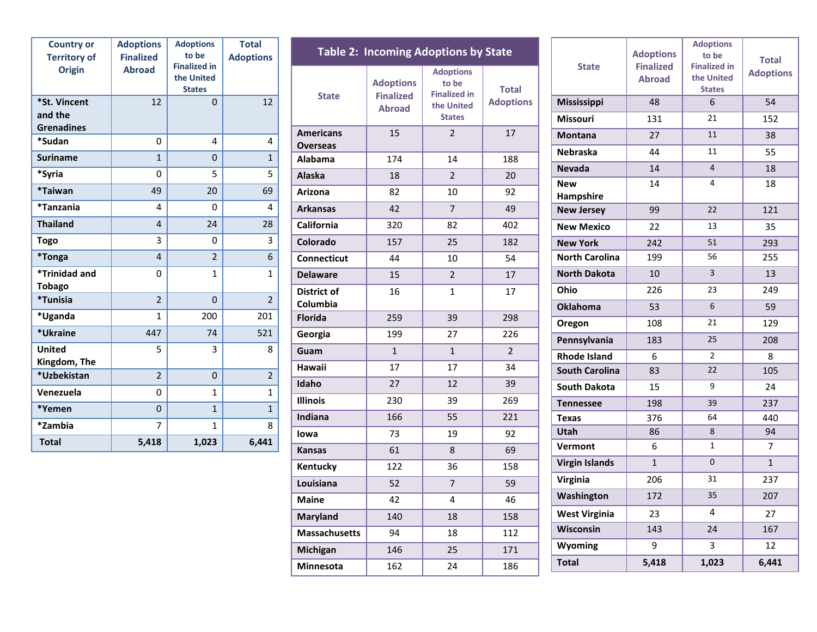| <b>Country or</b><br><b>Territory of</b><br><b>Origin</b> | <b>Adoptions</b><br><b>Finalized</b><br><b>Abroad</b> | <b>Adoptions</b><br>to be<br><b>Finalized in</b><br>the United<br><b>States</b> | <b>Total</b><br><b>Adoptions</b> |
|-----------------------------------------------------------|-------------------------------------------------------|---------------------------------------------------------------------------------|----------------------------------|
| *St. Vincent<br>and the<br><b>Grenadines</b>              | 12                                                    | $\Omega$                                                                        | 12                               |
| *Sudan                                                    | 0                                                     | 4                                                                               | 4                                |
| <b>Suriname</b>                                           | $\mathbf{1}$                                          | $\overline{0}$                                                                  | $\mathbf{1}$                     |
| *Syria                                                    | 0                                                     | 5                                                                               | 5                                |
| *Taiwan                                                   | 49                                                    | 20                                                                              | 69                               |
| *Tanzania                                                 | 4                                                     | 0                                                                               | 4                                |
| <b>Thailand</b>                                           | $\overline{\mathbf{4}}$                               | 24                                                                              | 28                               |
| <b>Togo</b>                                               | 3                                                     | 0                                                                               | 3                                |
| <i><b>*Tonga</b></i>                                      | 4                                                     | $\overline{2}$                                                                  | 6                                |
| *Trinidad and<br><b>Tobago</b>                            | 0                                                     | $\mathbf{1}$                                                                    | 1                                |
| *Tunisia                                                  | $\overline{2}$                                        | $\Omega$                                                                        | $\overline{2}$                   |
| *Uganda                                                   | $\mathbf{1}$                                          | 200                                                                             | 201                              |
| *Ukraine                                                  | 447                                                   | 74                                                                              | 521                              |
| <b>United</b><br>Kingdom, The                             | 5                                                     | 3                                                                               | 8                                |
| *Uzbekistan                                               | $\overline{2}$                                        | $\Omega$                                                                        | $\overline{2}$                   |
| Venezuela                                                 | 0                                                     | $\mathbf{1}$                                                                    | $\mathbf{1}$                     |
| *Yemen                                                    | 0                                                     | $\mathbf{1}$                                                                    | $\mathbf{1}$                     |
| *Zambia                                                   | 7                                                     | $\mathbf{1}$                                                                    | 8                                |
| <b>Total</b>                                              | 5,418                                                 | 1,023                                                                           | 6,441                            |

| <b>Table 2: Incoming Adoptions by State</b> |                                                       |                                                                                 |                                  |  |  |  |
|---------------------------------------------|-------------------------------------------------------|---------------------------------------------------------------------------------|----------------------------------|--|--|--|
| <b>State</b>                                | <b>Adoptions</b><br><b>Finalized</b><br><b>Abroad</b> | <b>Adoptions</b><br>to be<br><b>Finalized in</b><br>the United<br><b>States</b> | <b>Total</b><br><b>Adoptions</b> |  |  |  |
| <b>Americans</b><br><b>Overseas</b>         | 15                                                    | $\overline{2}$                                                                  | 17                               |  |  |  |
| <b>Alabama</b>                              | 174                                                   | 14                                                                              | 188                              |  |  |  |
| <b>Alaska</b>                               | 18                                                    | $\overline{2}$                                                                  | 20                               |  |  |  |
| <b>Arizona</b>                              | 82                                                    | 10                                                                              | 92                               |  |  |  |
| <b>Arkansas</b>                             | 42                                                    | $\overline{7}$                                                                  | 49                               |  |  |  |
| California                                  | 320                                                   | 82                                                                              | 402                              |  |  |  |
| Colorado                                    | 157                                                   | 25                                                                              | 182                              |  |  |  |
| <b>Connecticut</b>                          | 44                                                    | 10                                                                              | 54                               |  |  |  |
| <b>Delaware</b>                             | 15                                                    | $\overline{2}$                                                                  | 17                               |  |  |  |
| District of<br>Columbia                     | 16                                                    | 1                                                                               | 17                               |  |  |  |
| <b>Florida</b>                              | 259                                                   | 39                                                                              | 298                              |  |  |  |
| Georgia                                     | 199                                                   | 27                                                                              | 226                              |  |  |  |
| Guam                                        | $\mathbf{1}$                                          | $\mathbf{1}$                                                                    | $\overline{2}$                   |  |  |  |
| <b>Hawaii</b>                               | 17                                                    | 17                                                                              | 34                               |  |  |  |
| Idaho                                       | 27                                                    | 12                                                                              | 39                               |  |  |  |
| <b>Illinois</b>                             | 230                                                   | 39                                                                              | 269                              |  |  |  |
| Indiana                                     | 166                                                   | 55                                                                              | 221                              |  |  |  |
| lowa                                        | 73                                                    | 19                                                                              | 92                               |  |  |  |
| <b>Kansas</b>                               | 61                                                    | 8                                                                               | 69                               |  |  |  |
| <b>Kentucky</b>                             | 122                                                   | 36                                                                              | 158                              |  |  |  |
| Louisiana                                   | 52                                                    | $\overline{7}$                                                                  | 59                               |  |  |  |
| <b>Maine</b>                                | 42                                                    | 4                                                                               | 46                               |  |  |  |
| <b>Maryland</b>                             | 140                                                   | 18                                                                              | 158                              |  |  |  |
| <b>Massachusetts</b>                        | 94                                                    | 18                                                                              | 112                              |  |  |  |
| Michigan                                    | 146                                                   | 25                                                                              | 171                              |  |  |  |
| <b>Minnesota</b>                            | 162                                                   | 24                                                                              | 186                              |  |  |  |

| <b>State</b>            | <b>Adoptions</b><br><b>Finalized</b><br><b>Abroad</b> | <b>Adoptions</b><br>to be<br><b>Finalized in</b><br>the United<br><b>States</b> | <b>Total</b><br><b>Adoptions</b> |
|-------------------------|-------------------------------------------------------|---------------------------------------------------------------------------------|----------------------------------|
| Mississippi             | 48                                                    | 6                                                                               | 54                               |
| <b>Missouri</b>         | 131                                                   | 21                                                                              | 152                              |
| <b>Montana</b>          | 27                                                    | 11                                                                              | 38                               |
| <b>Nebraska</b>         | 44                                                    | 11                                                                              | 55                               |
| <b>Nevada</b>           | 14                                                    | 4                                                                               | 18                               |
| <b>New</b><br>Hampshire | 14                                                    | 4                                                                               | 18                               |
| <b>New Jersey</b>       | 99                                                    | 22                                                                              | 121                              |
| <b>New Mexico</b>       | 22                                                    | 13                                                                              | 35                               |
| <b>New York</b>         | 242                                                   | 51                                                                              | 293                              |
| <b>North Carolina</b>   | 199                                                   | 56                                                                              | 255                              |
| <b>North Dakota</b>     | 10                                                    | 3                                                                               | 13                               |
| Ohio                    | 226                                                   | 23                                                                              | 249                              |
| <b>Oklahoma</b>         | 53                                                    | 6                                                                               | 59                               |
| Oregon                  | 108                                                   | 21                                                                              | 129                              |
| Pennsylvania            | 183                                                   | 25                                                                              | 208                              |
| <b>Rhode Island</b>     | 6                                                     | 2                                                                               | 8                                |
| <b>South Carolina</b>   | 83                                                    | 22                                                                              | 105                              |
| South Dakota            | 15                                                    | 9                                                                               | 24                               |
| <b>Tennessee</b>        | 198                                                   | 39                                                                              | 237                              |
| <b>Texas</b>            | 376                                                   | 64                                                                              | 440                              |
| <b>Utah</b>             | 86                                                    | 8                                                                               | 94                               |
| Vermont                 | 6                                                     | $\mathbf{1}$                                                                    | 7                                |
| <b>Virgin Islands</b>   | $\mathbf{1}$                                          | $\overline{0}$                                                                  | $\mathbf{1}$                     |
| Virginia                | 206                                                   | 31                                                                              | 237                              |
| Washington              | 172                                                   | 35                                                                              | 207                              |
| <b>West Virginia</b>    | 23                                                    | 4                                                                               | 27                               |
| Wisconsin               | 143                                                   | 24                                                                              | 167                              |
| Wyoming                 | 9                                                     | 3                                                                               | 12                               |
| <b>Total</b>            | 5,418                                                 | 1,023                                                                           | 6,441                            |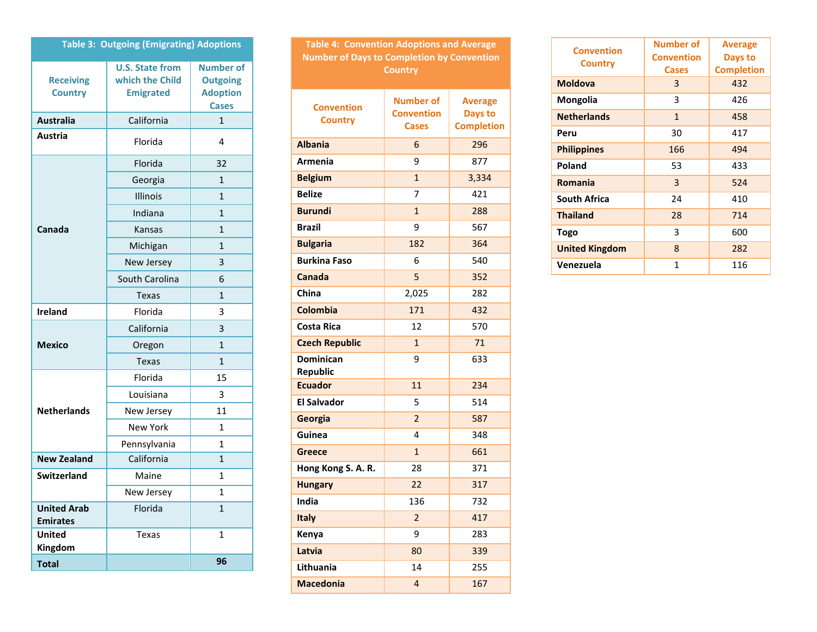| <b>Table 3: Outgoing (Emigrating) Adoptions</b> |                                                               |                                                                        |  |  |  |
|-------------------------------------------------|---------------------------------------------------------------|------------------------------------------------------------------------|--|--|--|
| <b>Receiving</b><br><b>Country</b>              | <b>U.S. State from</b><br>which the Child<br><b>Emigrated</b> | <b>Number of</b><br><b>Outgoing</b><br><b>Adoption</b><br><b>Cases</b> |  |  |  |
| <b>Australia</b>                                | California                                                    | $\mathbf{1}$                                                           |  |  |  |
| Austria                                         | Florida                                                       | 4                                                                      |  |  |  |
|                                                 | Florida                                                       | 32                                                                     |  |  |  |
|                                                 | Georgia                                                       | $\mathbf{1}$                                                           |  |  |  |
|                                                 | <b>Illinois</b>                                               | $\mathbf{1}$                                                           |  |  |  |
|                                                 | Indiana                                                       | $\mathbf{1}$                                                           |  |  |  |
| Canada                                          | <b>Kansas</b>                                                 | $\mathbf{1}$                                                           |  |  |  |
|                                                 | Michigan                                                      | $\mathbf{1}$                                                           |  |  |  |
|                                                 | New Jersey                                                    | 3                                                                      |  |  |  |
|                                                 | South Carolina                                                | 6                                                                      |  |  |  |
|                                                 | <b>Texas</b>                                                  | $\mathbf{1}$                                                           |  |  |  |
| <b>Ireland</b>                                  | Florida                                                       | 3                                                                      |  |  |  |
|                                                 | California                                                    | 3                                                                      |  |  |  |
| <b>Mexico</b>                                   | Oregon                                                        | $\mathbf{1}$                                                           |  |  |  |
|                                                 | <b>Texas</b>                                                  | 1                                                                      |  |  |  |
|                                                 | Florida                                                       | 15                                                                     |  |  |  |
|                                                 | Louisiana                                                     | 3                                                                      |  |  |  |
| <b>Netherlands</b>                              | New Jersey                                                    | 11                                                                     |  |  |  |
|                                                 | <b>New York</b>                                               | $\mathbf{1}$                                                           |  |  |  |
|                                                 | Pennsylvania                                                  | $\mathbf{1}$                                                           |  |  |  |
| <b>New Zealand</b>                              | California                                                    | $\mathbf{1}$                                                           |  |  |  |
| <b>Switzerland</b>                              | Maine                                                         | 1                                                                      |  |  |  |
|                                                 | New Jersey                                                    | 1                                                                      |  |  |  |
| <b>United Arab</b><br><b>Emirates</b>           | Florida                                                       | $\overline{1}$                                                         |  |  |  |
| <b>United</b><br>Kingdom                        | <b>Texas</b>                                                  | $\mathbf{1}$                                                           |  |  |  |
| <b>Total</b>                                    |                                                               | 96                                                                     |  |  |  |

| <b>Table 4: Convention Adoptions and Average</b><br><b>Number of Days to Completion by Convention</b> |                                                       |                                                |  |  |  |  |
|-------------------------------------------------------------------------------------------------------|-------------------------------------------------------|------------------------------------------------|--|--|--|--|
| <b>Country</b>                                                                                        |                                                       |                                                |  |  |  |  |
| <b>Convention</b><br><b>Country</b>                                                                   | <b>Number of</b><br><b>Convention</b><br><b>Cases</b> | <b>Average</b><br>Days to<br><b>Completion</b> |  |  |  |  |
| <b>Albania</b>                                                                                        | 6                                                     | 296                                            |  |  |  |  |
| Armenia                                                                                               | 9                                                     | 877                                            |  |  |  |  |
| <b>Belgium</b>                                                                                        | $\mathbf{1}$                                          | 3,334                                          |  |  |  |  |
| <b>Belize</b>                                                                                         | 7                                                     | 421                                            |  |  |  |  |
| <b>Burundi</b>                                                                                        | $\mathbf{1}$                                          | 288                                            |  |  |  |  |
| <b>Brazil</b>                                                                                         | 9                                                     | 567                                            |  |  |  |  |
| <b>Bulgaria</b>                                                                                       | 182                                                   | 364                                            |  |  |  |  |
| <b>Burkina Faso</b>                                                                                   | 6                                                     | 540                                            |  |  |  |  |
| <b>Canada</b>                                                                                         | 5                                                     | 352                                            |  |  |  |  |
| China                                                                                                 | 2,025                                                 | 282                                            |  |  |  |  |
| <b>Colombia</b>                                                                                       | 171                                                   | 432                                            |  |  |  |  |
| <b>Costa Rica</b>                                                                                     | 12                                                    | 570                                            |  |  |  |  |
| <b>Czech Republic</b>                                                                                 | $\mathbf{1}$                                          | 71                                             |  |  |  |  |
| <b>Dominican</b><br><b>Republic</b>                                                                   | 9                                                     | 633                                            |  |  |  |  |
| <b>Ecuador</b>                                                                                        | 11                                                    | 234                                            |  |  |  |  |
| <b>El Salvador</b>                                                                                    | 5                                                     | 514                                            |  |  |  |  |
| Georgia                                                                                               | $\overline{2}$                                        | 587                                            |  |  |  |  |
| Guinea                                                                                                | 4                                                     | 348                                            |  |  |  |  |
| <b>Greece</b>                                                                                         | $\mathbf{1}$                                          | 661                                            |  |  |  |  |
| Hong Kong S. A. R.                                                                                    | 28                                                    | 371                                            |  |  |  |  |
| <b>Hungary</b>                                                                                        | 22                                                    | 317                                            |  |  |  |  |
| <b>India</b>                                                                                          | 136                                                   | 732                                            |  |  |  |  |
| <b>Italy</b>                                                                                          | $\overline{2}$                                        | 417                                            |  |  |  |  |
| Kenya                                                                                                 | 9                                                     | 283                                            |  |  |  |  |
| Latvia                                                                                                | 80                                                    | 339                                            |  |  |  |  |
| Lithuania                                                                                             | 14                                                    | 255                                            |  |  |  |  |
| <b>Macedonia</b>                                                                                      | $\overline{\mathbf{4}}$                               | 167                                            |  |  |  |  |

| <b>Convention</b>     | <b>Number of</b><br><b>Convention</b> | <b>Average</b>    |  |
|-----------------------|---------------------------------------|-------------------|--|
| <b>Country</b>        |                                       | Days to           |  |
|                       | <b>Cases</b>                          | <b>Completion</b> |  |
| <b>Moldova</b>        | 3                                     | 432               |  |
| Mongolia              | 3                                     | 426               |  |
| <b>Netherlands</b>    | $\mathbf{1}$                          | 458               |  |
| Peru                  | 30                                    | 417               |  |
| <b>Philippines</b>    | 166                                   | 494               |  |
| Poland                | 53                                    | 433               |  |
| <b>Romania</b>        | 3                                     | 524               |  |
| <b>South Africa</b>   | 24                                    | 410               |  |
| <b>Thailand</b>       | 28                                    | 714               |  |
| Togo                  | 3                                     | 600               |  |
| <b>United Kingdom</b> | 8                                     | 282               |  |
| Venezuela             | $\mathbf{1}$                          | 116               |  |
|                       |                                       |                   |  |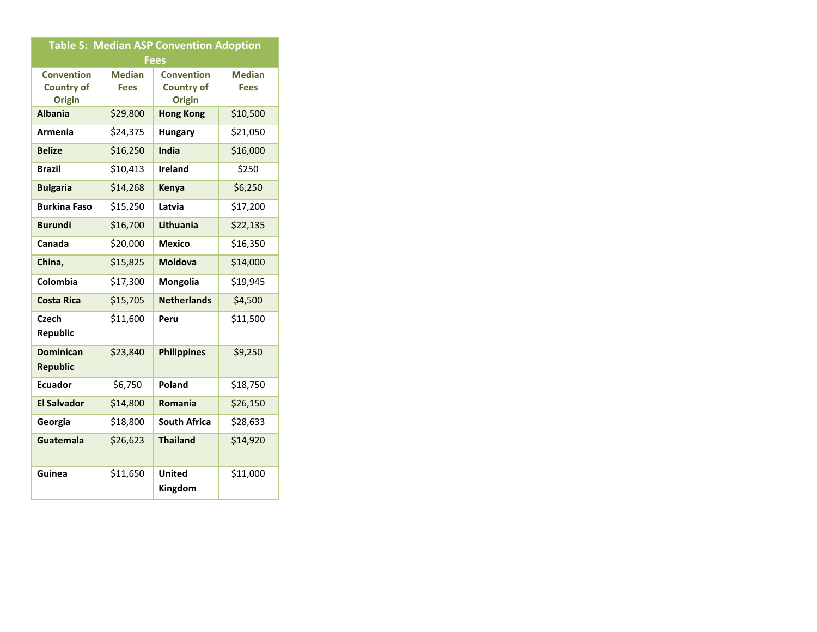| <b>Table 5: Median ASP Convention Adoption</b> |               |                          |               |  |  |  |
|------------------------------------------------|---------------|--------------------------|---------------|--|--|--|
| <b>Fees</b>                                    |               |                          |               |  |  |  |
| <b>Convention</b>                              | <b>Median</b> | <b>Convention</b>        | <b>Median</b> |  |  |  |
| <b>Country of</b>                              | <b>Fees</b>   | <b>Country of</b>        | <b>Fees</b>   |  |  |  |
| <b>Origin</b>                                  |               | <b>Origin</b>            |               |  |  |  |
| <b>Albania</b>                                 | \$29,800      | <b>Hong Kong</b>         | \$10,500      |  |  |  |
| <b>Armenia</b>                                 | \$24,375      | <b>Hungary</b>           | \$21,050      |  |  |  |
| <b>Belize</b>                                  | \$16,250      | India                    | \$16,000      |  |  |  |
| <b>Brazil</b>                                  | \$10,413      | <b>Ireland</b>           | \$250         |  |  |  |
| <b>Bulgaria</b>                                | \$14,268      | Kenya                    | \$6,250       |  |  |  |
| <b>Burkina Faso</b>                            | \$15,250      | Latvia                   | \$17,200      |  |  |  |
| <b>Burundi</b>                                 | \$16,700      | Lithuania                | \$22,135      |  |  |  |
| Canada                                         | \$20,000      | <b>Mexico</b>            | \$16,350      |  |  |  |
| China,                                         | \$15,825      | <b>Moldova</b>           | \$14,000      |  |  |  |
| Colombia                                       | \$17,300      | Mongolia                 | \$19,945      |  |  |  |
| <b>Costa Rica</b>                              | \$15,705      | <b>Netherlands</b>       | \$4,500       |  |  |  |
| Czech<br>Republic                              | \$11,600      | Peru                     | \$11,500      |  |  |  |
| <b>Dominican</b><br><b>Republic</b>            | \$23,840      | <b>Philippines</b>       | \$9,250       |  |  |  |
| <b>Ecuador</b>                                 | \$6,750       | Poland                   | \$18,750      |  |  |  |
| <b>El Salvador</b>                             | \$14,800      | Romania                  | \$26,150      |  |  |  |
| Georgia                                        | \$18,800      | <b>South Africa</b>      | \$28,633      |  |  |  |
| <b>Guatemala</b>                               | \$26,623      | <b>Thailand</b>          | \$14,920      |  |  |  |
| Guinea                                         | \$11,650      | <b>United</b><br>Kingdom | \$11,000      |  |  |  |